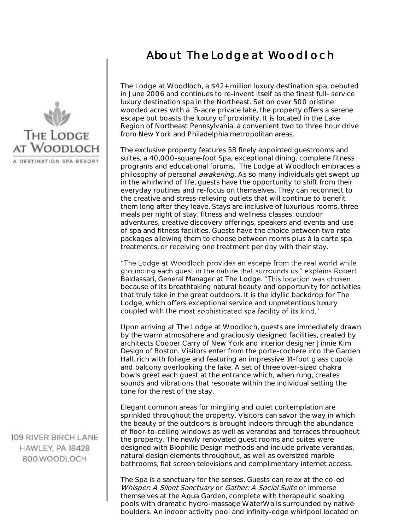## About The Lodge at Woodloch



 The exclusive property features 58 finely appointed guestrooms and suites, a 40,000-square-foot Spa, exceptional dining, complete fitness programs and educational forums. The Lodge at Woodloch embraces a philosophy of personal *awakening*. As so many individuals get swept up in the whirlwind of life, guests have the opportunity to shift from their everyday routines and re-focus on themselves. They can reconnect to the creative and stress-relieving outlets that will continue to benefit them long after they leave. Stays are inclusive of luxurious rooms, three meals per night of stay, fitness and wellness classes, outdoor adventures, creative discovery offerings, speakers and events and use of spa and fitness facilities. Guests have the choice between two rate packages allowing them to choose between rooms plus à la carte spa treatments, or receiving one treatment per day with their stay.

"The Lodge at Woodloch provides an escape from the real world while grounding each guest in the nature that surrounds us," explains Robert Baldassari, General Manager at The Lodge. because of its breathtaking natural beauty and opportunity for activities that truly take in the great outdoors. It is the idyllic backdrop for The Lodge, which offers exceptional service and unpretentious luxury coupled with the

 Upon arriving at The Lodge at Woodloch, guests are immediately drawn by the warm atmosphere and graciously designed facilities, created by architects Cooper Carry of New York and interior designer Jinnie Kim Design of Boston. Visitors enter from the porte-cochere into the Garden Hall, rich with foliage and featuring an impressive 14-foot glass cupola and balcony overlooking the lake. A set of three over-sized chakra bowls greet each guest at the entrance which, when rung, creates sounds and vibrations that resonate within the individual setting the tone for the rest of the stay.

 Elegant common areas for mingling and quiet contemplation are sprinkled throughout the property. Visitors can savor the way in which the beauty of the outdoors is brought indoors through the abundance of floor-to-ceiling windows as well as verandas and terraces throughout the property. The newly renovated guest rooms and suites were designed with Biophilic Design methods and include private verandas, natural design elements throughout, as well as oversized marble bathrooms, flat screen televisions and complimentary internet access.

 The Spa is a sanctuary for the senses. Guests can relax at the co-ed Whisper: A Silent Sanctuary or Gather: A Social Suite or immerse themselves at the Aqua Garden, complete with therapeutic soaking pools with dramatic hydro-massage WaterWalls surrounded by native boulders. An indoor activity pool and infinity-edge whirlpool located on



109 RIVER BIRCH LANE HAWLEY, PA 18428 800.WOODLOCH